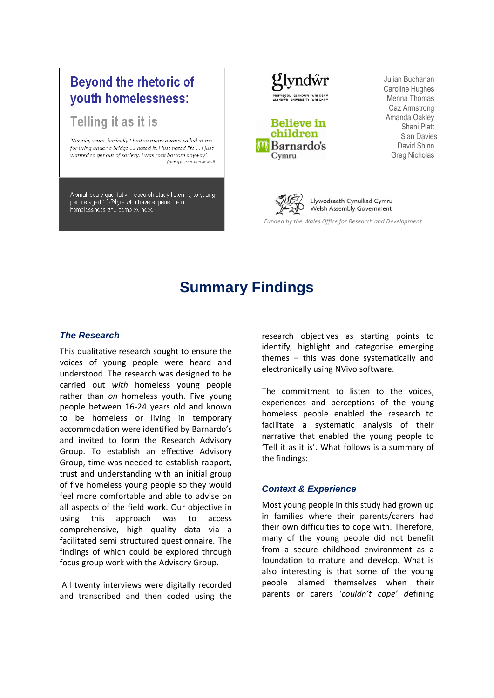## **Beyond the rhetoric of** youth homelessness:

## Telling it as it is

'Vermin, scum, basically I had so many names called at me for living under a bridge ... I hated it. I just hated life ... I just wanted to get out of society. I was rock bottom anyway' (young person interviewed)

A small scale qualitative research study listening to young people aged 16-24yrs who have experience of homelessness and complex need





Julian Buchanan Caroline Hughes Menna Thomas Caz Armstrong Amanda Oakley Shani Platt Sian Davies David Shinn Greg Nicholas



 *Funded by the Wales Office for Research and Development*

# **Summary Findings**

#### *The Research*

This qualitative research sought to ensure the voices of young people were heard and understood. The research was designed to be carried out *with* homeless young people rather than *on* homeless youth. Five young people between 16-24 years old and known to be homeless or living in temporary accommodation were identified by Barnardo's and invited to form the Research Advisory Group. To establish an effective Advisory Group, time was needed to establish rapport, trust and understanding with an initial group of five homeless young people so they would feel more comfortable and able to advise on all aspects of the field work. Our objective in using this approach was to access comprehensive, high quality data via a facilitated semi structured questionnaire. The findings of which could be explored through focus group work with the Advisory Group.

All twenty interviews were digitally recorded and transcribed and then coded using the research objectives as starting points to identify, highlight and categorise emerging themes – this was done systematically and electronically using NVivo software.

The commitment to listen to the voices, experiences and perceptions of the young homeless people enabled the research to facilitate a systematic analysis of their narrative that enabled the young people to 'Tell it as it is'. What follows is a summary of the findings:

### *Context & Experience*

Most young people in this study had grown up in families where their parents/carers had their own difficulties to cope with. Therefore, many of the young people did not benefit from a secure childhood environment as a foundation to mature and develop. What is also interesting is that some of the young people blamed themselves when their parents or carers '*couldn't cope' d*efining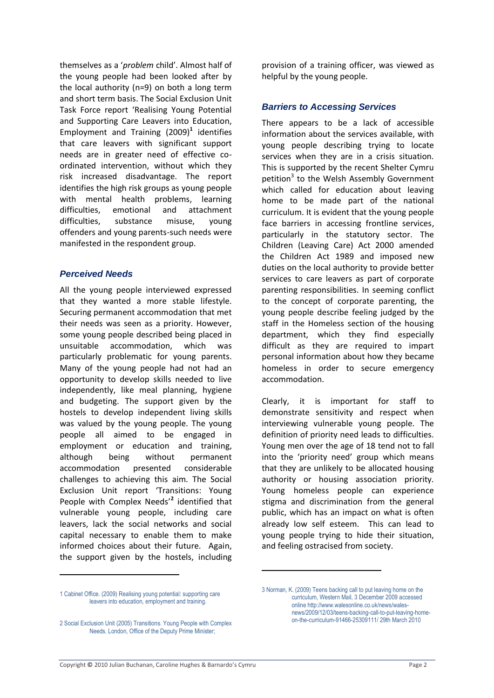themselves as a '*problem* child'. Almost half of the young people had been looked after by the local authority (n=9) on both a long term and short term basis. The Social Exclusion Unit Task Force report 'Realising Young Potential and Supporting Care Leavers into Education, Employment and Training (2009)**<sup>1</sup>** identifies that care leavers with significant support needs are in greater need of effective coordinated intervention, without which they risk increased disadvantage. The report identifies the high risk groups as young people with mental health problems, learning difficulties, emotional and attachment difficulties, substance misuse, young offenders and young parents-such needs were manifested in the respondent group.

## *Perceived Needs*

All the young people interviewed expressed that they wanted a more stable lifestyle. Securing permanent accommodation that met their needs was seen as a priority. However, some young people described being placed in unsuitable accommodation, which was particularly problematic for young parents. Many of the young people had not had an opportunity to develop skills needed to live independently, like meal planning, hygiene and budgeting. The support given by the hostels to develop independent living skills was valued by the young people. The young people all aimed to be engaged in employment or education and training, although being without permanent accommodation presented considerable challenges to achieving this aim. The Social Exclusion Unit report 'Transitions: Young People with Complex Needs'**<sup>2</sup>** identified that vulnerable young people, including care leavers, lack the social networks and social capital necessary to enable them to make informed choices about their future. Again, the support given by the hostels, including

provision of a training officer, was viewed as helpful by the young people.

## *Barriers to Accessing Services*

There appears to be a lack of accessible information about the services available, with young people describing trying to locate services when they are in a crisis situation. This is supported by the recent Shelter Cymru petition<sup>3</sup> to the Welsh Assembly Government which called for education about leaving home to be made part of the national curriculum. It is evident that the young people face barriers in accessing frontline services, particularly in the statutory sector. The Children (Leaving Care) Act 2000 amended the Children Act 1989 and imposed new duties on the local authority to provide better services to care leavers as part of corporate parenting responsibilities. In seeming conflict to the concept of corporate parenting, the young people describe feeling judged by the staff in the Homeless section of the housing department, which they find especially difficult as they are required to impart personal information about how they became homeless in order to secure emergency accommodation.

Clearly, it is important for staff to demonstrate sensitivity and respect when interviewing vulnerable young people. The definition of priority need leads to difficulties. Young men over the age of 18 tend not to fall into the 'priority need' group which means that they are unlikely to be allocated housing authority or housing association priority. Young homeless people can experience stigma and discrimination from the general public, which has an impact on what is often already low self esteem. This can lead to young people trying to hide their situation, and feeling ostracised from society.

1

.

<sup>1</sup> Cabinet Office. (2009[\) Realising young potential: supporting care](http://www.cabinetoffice.gov.uk/media/310305/eet_report.pdf)  [leavers into education, employment and training.](http://www.cabinetoffice.gov.uk/media/310305/eet_report.pdf)

<sup>2</sup> Social Exclusion Unit (2005) Transitions. Young People with Complex Needs. London, Office of the Deputy Prime Minister;

<sup>3</sup> Norman, K. (2009) Teens backing call to put leaving home on the curriculum, Western Mail, 3 December 2009 accessed online http://www.walesonline.co.uk/news/walesnews/2009/12/03/teens-backing-call-to-put-leaving-homeon-the-curriculum-91466-25309111/ 29th March 2010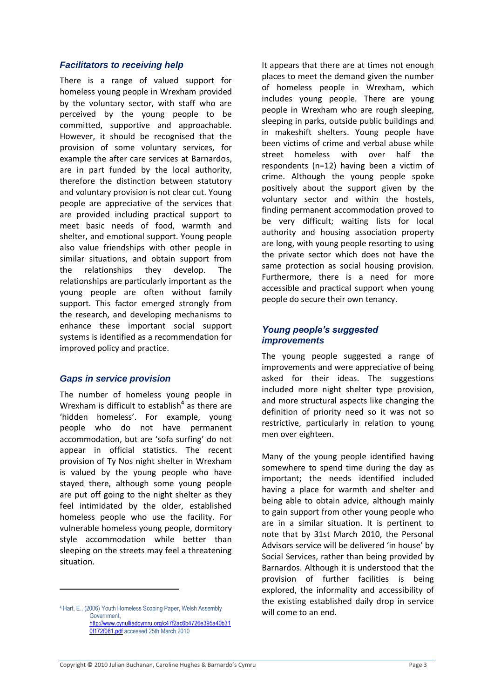### *Facilitators to receiving help*

There is a range of valued support for homeless young people in Wrexham provided by the voluntary sector, with staff who are perceived by the young people to be committed, supportive and approachable. However, it should be recognised that the provision of some voluntary services, for example the after care services at Barnardos, are in part funded by the local authority, therefore the distinction between statutory and voluntary provision is not clear cut. Young people are appreciative of the services that are provided including practical support to meet basic needs of food, warmth and shelter, and emotional support. Young people also value friendships with other people in similar situations, and obtain support from the relationships they develop. The relationships are particularly important as the young people are often without family support. This factor emerged strongly from the research, and developing mechanisms to enhance these important social support systems is identified as a recommendation for improved policy and practice.

### *Gaps in service provision*

The number of homeless young people in Wrexham is difficult to establish**<sup>4</sup>** as there are 'hidden homeless'. For example, young people who do not have permanent accommodation, but are 'sofa surfing' do not appear in official statistics. The recent provision of Ty Nos night shelter in Wrexham is valued by the young people who have stayed there, although some young people are put off going to the night shelter as they feel intimidated by the older, established homeless people who use the facility. For vulnerable homeless young people, dormitory style accommodation while better than sleeping on the streets may feel a threatening situation.

1

It appears that there are at times not enough places to meet the demand given the number of homeless people in Wrexham, which includes young people. There are young people in Wrexham who are rough sleeping, sleeping in parks, outside public buildings and in makeshift shelters. Young people have been victims of crime and verbal abuse while street homeless with over half the respondents (n=12) having been a victim of crime. Although the young people spoke positively about the support given by the voluntary sector and within the hostels, finding permanent accommodation proved to be very difficult; waiting lists for local authority and housing association property are long, with young people resorting to using the private sector which does not have the same protection as social housing provision. Furthermore, there is a need for more accessible and practical support when young people do secure their own tenancy.

## *Young people's suggested improvements*

The young people suggested a range of improvements and were appreciative of being asked for their ideas. The suggestions included more night shelter type provision, and more structural aspects like changing the definition of priority need so it was not so restrictive, particularly in relation to young men over eighteen.

Many of the young people identified having somewhere to spend time during the day as important; the needs identified included having a place for warmth and shelter and being able to obtain advice, although mainly to gain support from other young people who are in a similar situation. It is pertinent to note that by 31st March 2010, the Personal Advisors service will be delivered 'in house' by Social Services, rather than being provided by Barnardos. Although it is understood that the provision of further facilities is being explored, the informality and accessibility of the existing established daily drop in service will come to an end.

<sup>4</sup> Hart, E., (2006) Youth Homeless Scoping Paper, Welsh Assembly Government, [http://www.cynulliadcymru.org/c47f2ac6b4726e395a40b31](http://www.cynulliadcymru.org/c47f2ac6b4726e395a40b310f172f081.pdf)

[<sup>0</sup>f172f081.pdf](http://www.cynulliadcymru.org/c47f2ac6b4726e395a40b310f172f081.pdf) accessed 25th March 2010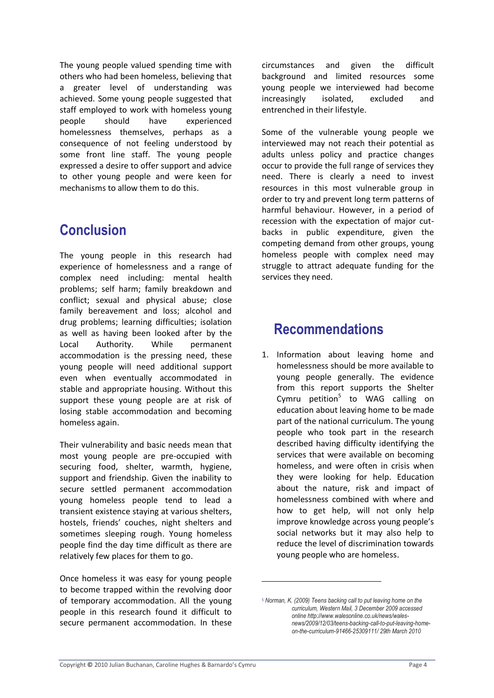The young people valued spending time with others who had been homeless, believing that a greater level of understanding was achieved. Some young people suggested that staff employed to work with homeless young people should have experienced homelessness themselves, perhaps as a consequence of not feeling understood by some front line staff. The young people expressed a desire to offer support and advice to other young people and were keen for mechanisms to allow them to do this.

# **Conclusion**

The young people in this research had experience of homelessness and a range of complex need including: mental health problems; self harm; family breakdown and conflict; sexual and physical abuse; close family bereavement and loss; alcohol and drug problems; learning difficulties; isolation as well as having been looked after by the Local Authority. While permanent accommodation is the pressing need, these young people will need additional support even when eventually accommodated in stable and appropriate housing. Without this support these young people are at risk of losing stable accommodation and becoming homeless again.

Their vulnerability and basic needs mean that most young people are pre-occupied with securing food, shelter, warmth, hygiene, support and friendship. Given the inability to secure settled permanent accommodation young homeless people tend to lead a transient existence staying at various shelters, hostels, friends' couches, night shelters and sometimes sleeping rough. Young homeless people find the day time difficult as there are relatively few places for them to go.

Once homeless it was easy for young people to become trapped within the revolving door of temporary accommodation. All the young people in this research found it difficult to secure permanent accommodation. In these

circumstances and given the difficult background and limited resources some young people we interviewed had become increasingly isolated, excluded and entrenched in their lifestyle.

Some of the vulnerable young people we interviewed may not reach their potential as adults unless policy and practice changes occur to provide the full range of services they need. There is clearly a need to invest resources in this most vulnerable group in order to try and prevent long term patterns of harmful behaviour. However, in a period of recession with the expectation of major cutbacks in public expenditure, given the competing demand from other groups, young homeless people with complex need may struggle to attract adequate funding for the services they need.

# **Recommendations**

1. Information about leaving home and homelessness should be more available to young people generally. The evidence from this report supports the Shelter Cymru petition<sup>5</sup> to WAG calling on education about leaving home to be made part of the national curriculum. The young people who took part in the research described having difficulty identifying the services that were available on becoming homeless, and were often in crisis when they were looking for help. Education about the nature, risk and impact of homelessness combined with where and how to get help, will not only help improve knowledge across young people's social networks but it may also help to reduce the level of discrimination towards young people who are homeless.

.

<sup>5</sup> *Norman, K. (2009) Teens backing call to put leaving home on the curriculum, Western Mail, 3 December 2009 accessed online http://www.walesonline.co.uk/news/walesnews/2009/12/03/teens-backing-call-to-put-leaving-homeon-the-curriculum-91466-25309111/ 29th March 2010*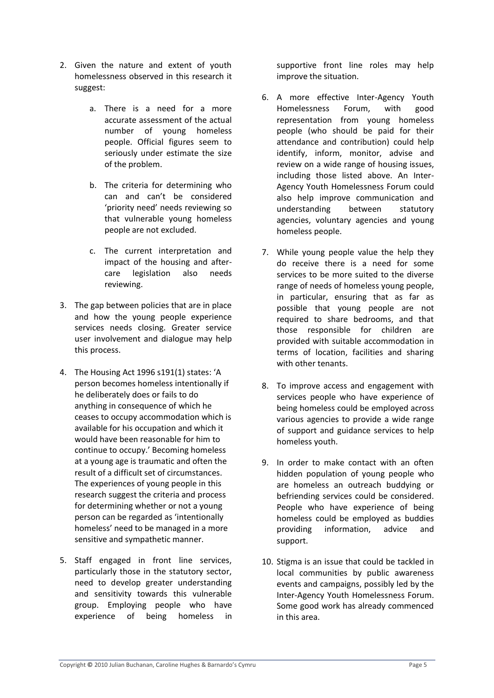- 2. Given the nature and extent of youth homelessness observed in this research it suggest:
	- a. There is a need for a more accurate assessment of the actual number of young homeless people. Official figures seem to seriously under estimate the size of the problem.
	- b. The criteria for determining who can and can't be considered 'priority need' needs reviewing so that vulnerable young homeless people are not excluded.
	- c. The current interpretation and impact of the housing and aftercare legislation also needs reviewing.
- 3. The gap between policies that are in place and how the young people experience services needs closing. Greater service user involvement and dialogue may help this process.
- 4. The Housing Act 1996 s191(1) states: 'A person becomes homeless intentionally if he deliberately does or fails to do anything in consequence of which he ceases to occupy accommodation which is available for his occupation and which it would have been reasonable for him to continue to occupy.' Becoming homeless at a young age is traumatic and often the result of a difficult set of circumstances. The experiences of young people in this research suggest the criteria and process for determining whether or not a young person can be regarded as 'intentionally homeless' need to be managed in a more sensitive and sympathetic manner.
- 5. Staff engaged in front line services, particularly those in the statutory sector, need to develop greater understanding and sensitivity towards this vulnerable group. Employing people who have experience of being homeless in

supportive front line roles may help improve the situation.

- 6. A more effective Inter-Agency Youth Homelessness Forum, with good representation from young homeless people (who should be paid for their attendance and contribution) could help identify, inform, monitor, advise and review on a wide range of housing issues, including those listed above. An Inter-Agency Youth Homelessness Forum could also help improve communication and understanding between statutory agencies, voluntary agencies and young homeless people.
- 7. While young people value the help they do receive there is a need for some services to be more suited to the diverse range of needs of homeless young people, in particular, ensuring that as far as possible that young people are not required to share bedrooms, and that those responsible for children are provided with suitable accommodation in terms of location, facilities and sharing with other tenants.
- 8. To improve access and engagement with services people who have experience of being homeless could be employed across various agencies to provide a wide range of support and guidance services to help homeless youth.
- 9. In order to make contact with an often hidden population of young people who are homeless an outreach buddying or befriending services could be considered. People who have experience of being homeless could be employed as buddies providing information, advice and support.
- 10. Stigma is an issue that could be tackled in local communities by public awareness events and campaigns, possibly led by the Inter-Agency Youth Homelessness Forum. Some good work has already commenced in this area.